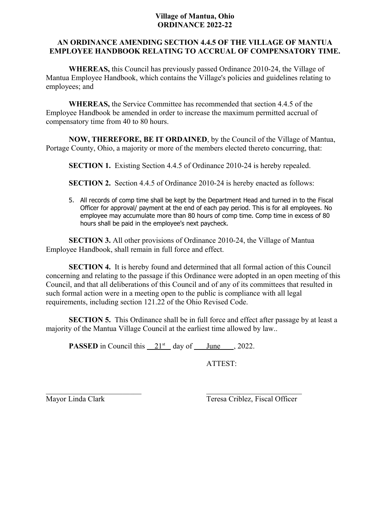## **Village of Mantua, Ohio ORDINANCE 2022-22**

## **AN ORDINANCE AMENDING SECTION 4.4.5 OF THE VILLAGE OF MANTUA EMPLOYEE HANDBOOK RELATING TO ACCRUAL OF COMPENSATORY TIME.**

 **WHEREAS,** this Council has previously passed Ordinance 2010-24, the Village of Mantua Employee Handbook, which contains the Village's policies and guidelines relating to employees; and

**WHEREAS,** the Service Committee has recommended that section 4.4.5 of the Employee Handbook be amended in order to increase the maximum permitted accrual of compensatory time from 40 to 80 hours.

**NOW, THEREFORE, BE IT ORDAINED**, by the Council of the Village of Mantua, Portage County, Ohio, a majority or more of the members elected thereto concurring, that:

**SECTION 1.** Existing Section 4.4.5 of Ordinance 2010-24 is hereby repealed.

**SECTION 2.** Section 4.4.5 of Ordinance 2010-24 is hereby enacted as follows:

5. All records of comp time shall be kept by the Department Head and turned in to the Fiscal Officer for approval/ payment at the end of each pay period. This is for all employees. No employee may accumulate more than 80 hours of comp time. Comp time in excess of 80 hours shall be paid in the employee's next paycheck.

**SECTION 3.** All other provisions of Ordinance 2010-24, the Village of Mantua Employee Handbook, shall remain in full force and effect.

**SECTION 4.** It is hereby found and determined that all formal action of this Council concerning and relating to the passage if this Ordinance were adopted in an open meeting of this Council, and that all deliberations of this Council and of any of its committees that resulted in such formal action were in a meeting open to the public is compliance with all legal requirements, including section 121.22 of the Ohio Revised Code.

**SECTION 5.** This Ordinance shall be in full force and effect after passage by at least a majority of the Mantua Village Council at the earliest time allowed by law..

**PASSED** in Council this  $21<sup>st</sup>$  day of June , 2022.

ATTEST:

Mayor Linda Clark Teresa Criblez, Fiscal Officer